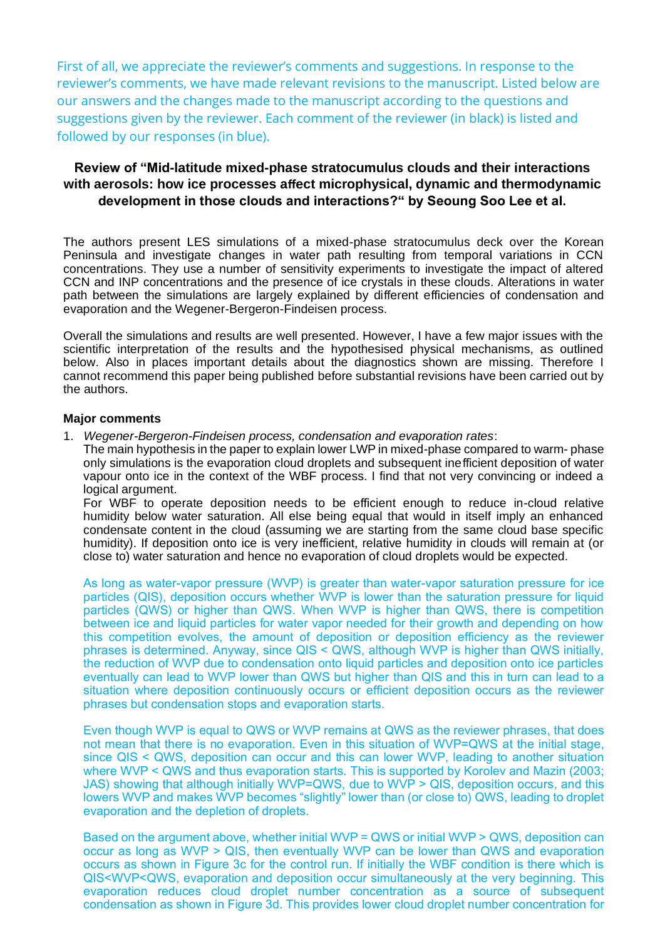First of all, we appreciate the reviewer's comments and suggestions. In response to the reviewer's comments, we have made relevant revisions to the manuscript. Listed below are our answers and the changes made to the manuscript according to the questions and suggestions given by the reviewer. Each comment of the reviewer (in black) is listed and followed by our responses (in blue).

## **Review of "Mid-latitude mixed-phase stratocumulus clouds and their interactions with aerosols: how ice processes affect microphysical, dynamic and thermodynamic development in those clouds and interactions?" by Seoung Soo Lee et al.**

The authors present LES simulations of a mixed-phase stratocumulus deck over the Korean Peninsula and investigate changes in water path resulting from temporal variations in CCN concentrations. They use a number of sensitivity experiments to investigate the impact of altered CCN and INP concentrations and the presence of ice crystals in these clouds. Alterations in water path between the simulations are largely explained by different efficiencies of condensation and evaporation and the Wegener-Bergeron-Findeisen process.

Overall the simulations and results are well presented. However, I have a few major issues with the scientific interpretation of the results and the hypothesised physical mechanisms, as outlined below. Also in places important details about the diagnostics shown are missing. Therefore I cannot recommend this paper being published before substantial revisions have been carried out by the authors.

## **Major comments**

1. *Wegener-Bergeron-Findeisen process, condensation and evaporation rates*:

The main hypothesis in the paper to explain lower LWP in mixed-phase compared to warm- phase only simulations is the evaporation cloud droplets and subsequent inefficient deposition of water vapour onto ice in the context of the WBF process. I find that not very convincing or indeed a logical argument.

For WBF to operate deposition needs to be efficient enough to reduce in-cloud relative humidity below water saturation. All else being equal that would in itself imply an enhanced condensate content in the cloud (assuming we are starting from the same cloud base specific humidity). If deposition onto ice is very inefficient, relative humidity in clouds will remain at (or close to) water saturation and hence no evaporation of cloud droplets would be expected.

As long as water-vapor pressure (WVP) is greater than water-vapor saturation pressure for ice particles (QIS), deposition occurs whether WVP is lower than the saturation pressure for liquid particles (QWS) or higher than QWS. When WVP is higher than QWS, there is competition between ice and liquid particles for water vapor needed for their growth and depending on how this competition evolves, the amount of deposition or deposition efficiency as the reviewer phrases is determined. Anyway, since QIS < QWS, although WVP is higher than QWS initially, the reduction of WVP due to condensation onto liquid particles and deposition onto ice particles eventually can lead to WVP lower than QWS but higher than QIS and this in turn can lead to a situation where deposition continuously occurs or efficient deposition occurs as the reviewer phrases but condensation stops and evaporation starts.

Even though WVP is equal to QWS or WVP remains at QWS as the reviewer phrases, that does not mean that there is no evaporation. Even in this situation of WVP=QWS at the initial stage, since QIS < QWS, deposition can occur and this can lower WVP, leading to another situation where WVP < QWS and thus evaporation starts. This is supported by Korolev and Mazin (2003; JAS) showing that although initially WVP=QWS, due to WVP > QIS, deposition occurs, and this lowers WVP and makes WVP becomes "slightly" lower than (or close to) QWS, leading to droplet evaporation and the depletion of droplets.

Based on the argument above, whether initial WVP = QWS or initial WVP > QWS, deposition can occur as long as WVP > QIS, then eventually WVP can be lower than QWS and evaporation occurs as shown in Figure 3c for the control run. If initially the WBF condition is there which is QIS<WVP<QWS, evaporation and deposition occur simultaneously at the very beginning. This evaporation reduces cloud droplet number concentration as a source of subsequent condensation as shown in Figure 3d. This provides lower cloud droplet number concentration for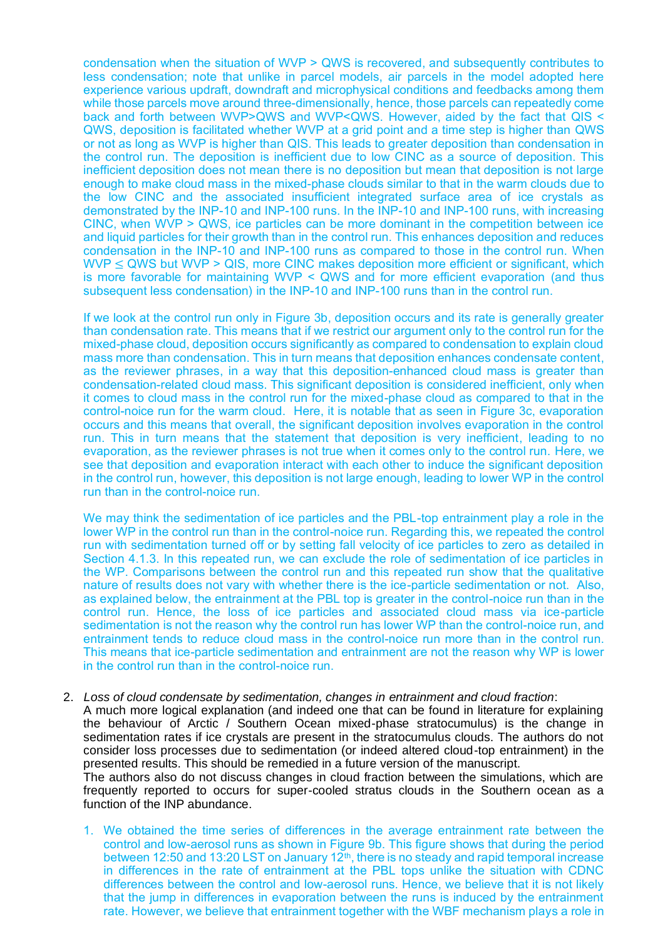condensation when the situation of WVP > QWS is recovered, and subsequently contributes to less condensation; note that unlike in parcel models, air parcels in the model adopted here experience various updraft, downdraft and microphysical conditions and feedbacks among them while those parcels move around three-dimensionally, hence, those parcels can repeatedly come back and forth between WVP>QWS and WVP<QWS. However, aided by the fact that QIS < QWS, deposition is facilitated whether WVP at a grid point and a time step is higher than QWS or not as long as WVP is higher than QIS. This leads to greater deposition than condensation in the control run. The deposition is inefficient due to low CINC as a source of deposition. This inefficient deposition does not mean there is no deposition but mean that deposition is not large enough to make cloud mass in the mixed-phase clouds similar to that in the warm clouds due to the low CINC and the associated insufficient integrated surface area of ice crystals as demonstrated by the INP-10 and INP-100 runs. In the INP-10 and INP-100 runs, with increasing CINC, when WVP > QWS, ice particles can be more dominant in the competition between ice and liquid particles for their growth than in the control run. This enhances deposition and reduces condensation in the INP-10 and INP-100 runs as compared to those in the control run. When  $WVP \le QWS$  but  $WVP > QIS$ , more CINC makes deposition more efficient or significant, which is more favorable for maintaining WVP < QWS and for more efficient evaporation (and thus subsequent less condensation) in the INP-10 and INP-100 runs than in the control run.

If we look at the control run only in Figure 3b, deposition occurs and its rate is generally greater than condensation rate. This means that if we restrict our argument only to the control run for the mixed-phase cloud, deposition occurs significantly as compared to condensation to explain cloud mass more than condensation. This in turn means that deposition enhances condensate content, as the reviewer phrases, in a way that this deposition-enhanced cloud mass is greater than condensation-related cloud mass. This significant deposition is considered inefficient, only when it comes to cloud mass in the control run for the mixed-phase cloud as compared to that in the control-noice run for the warm cloud. Here, it is notable that as seen in Figure 3c, evaporation occurs and this means that overall, the significant deposition involves evaporation in the control run. This in turn means that the statement that deposition is very inefficient, leading to no evaporation, as the reviewer phrases is not true when it comes only to the control run. Here, we see that deposition and evaporation interact with each other to induce the significant deposition in the control run, however, this deposition is not large enough, leading to lower WP in the control run than in the control-noice run.

We may think the sedimentation of ice particles and the PBL-top entrainment play a role in the lower WP in the control run than in the control-noice run. Regarding this, we repeated the control run with sedimentation turned off or by setting fall velocity of ice particles to zero as detailed in Section 4.1.3. In this repeated run, we can exclude the role of sedimentation of ice particles in the WP. Comparisons between the control run and this repeated run show that the qualitative nature of results does not vary with whether there is the ice-particle sedimentation or not. Also, as explained below, the entrainment at the PBL top is greater in the control-noice run than in the control run. Hence, the loss of ice particles and associated cloud mass via ice-particle sedimentation is not the reason why the control run has lower WP than the control-noice run, and entrainment tends to reduce cloud mass in the control-noice run more than in the control run. This means that ice-particle sedimentation and entrainment are not the reason why WP is lower in the control run than in the control-noice run.

#### 2. *Loss of cloud condensate by sedimentation, changes in entrainment and cloud fraction*:

A much more logical explanation (and indeed one that can be found in literature for explaining the behaviour of Arctic / Southern Ocean mixed-phase stratocumulus) is the change in sedimentation rates if ice crystals are present in the stratocumulus clouds. The authors do not consider loss processes due to sedimentation (or indeed altered cloud-top entrainment) in the presented results. This should be remedied in a future version of the manuscript.

The authors also do not discuss changes in cloud fraction between the simulations, which are frequently reported to occurs for super-cooled stratus clouds in the Southern ocean as a function of the INP abundance.

1. We obtained the time series of differences in the average entrainment rate between the control and low-aerosol runs as shown in Figure 9b. This figure shows that during the period between 12:50 and 13:20 LST on January 12<sup>th</sup>, there is no steady and rapid temporal increase in differences in the rate of entrainment at the PBL tops unlike the situation with CDNC differences between the control and low-aerosol runs. Hence, we believe that it is not likely that the jump in differences in evaporation between the runs is induced by the entrainment rate. However, we believe that entrainment together with the WBF mechanism plays a role in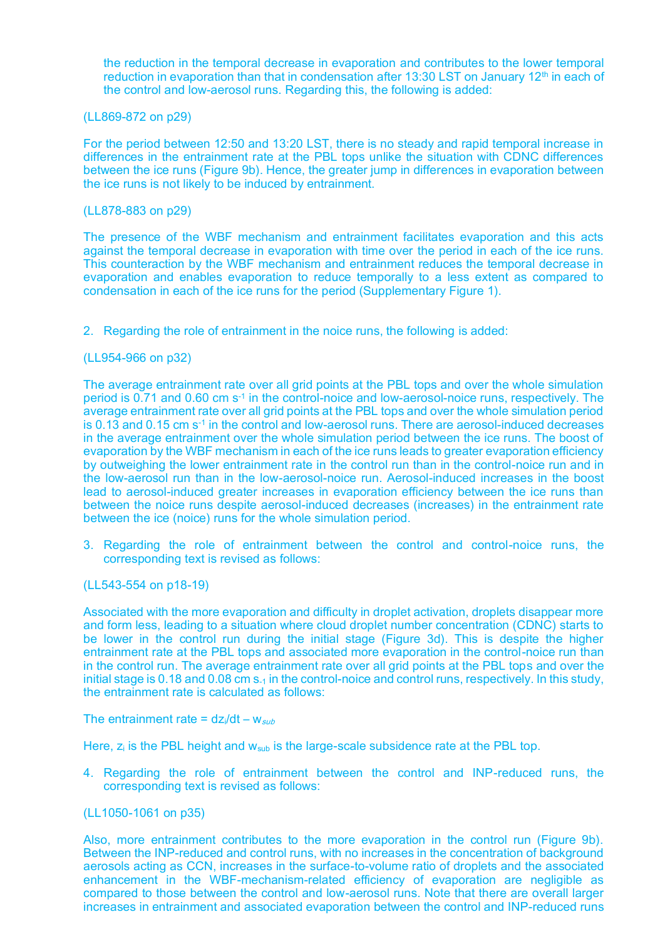the reduction in the temporal decrease in evaporation and contributes to the lower temporal reduction in evaporation than that in condensation after 13:30 LST on January 12<sup>th</sup> in each of the control and low-aerosol runs. Regarding this, the following is added:

### (LL869-872 on p29)

For the period between 12:50 and 13:20 LST, there is no steady and rapid temporal increase in differences in the entrainment rate at the PBL tops unlike the situation with CDNC differences between the ice runs (Figure 9b). Hence, the greater jump in differences in evaporation between the ice runs is not likely to be induced by entrainment.

### (LL878-883 on p29)

The presence of the WBF mechanism and entrainment facilitates evaporation and this acts against the temporal decrease in evaporation with time over the period in each of the ice runs. This counteraction by the WBF mechanism and entrainment reduces the temporal decrease in evaporation and enables evaporation to reduce temporally to a less extent as compared to condensation in each of the ice runs for the period (Supplementary Figure 1).

2. Regarding the role of entrainment in the noice runs, the following is added:

### (LL954-966 on p32)

The average entrainment rate over all grid points at the PBL tops and over the whole simulation period is 0.71 and 0.60 cm s<sup>-1</sup> in the control-noice and low-aerosol-noice runs, respectively. The average entrainment rate over all grid points at the PBL tops and over the whole simulation period is 0.13 and 0.15 cm s<sup>-1</sup> in the control and low-aerosol runs. There are aerosol-induced decreases in the average entrainment over the whole simulation period between the ice runs. The boost of evaporation by the WBF mechanism in each of the ice runs leads to greater evaporation efficiency by outweighing the lower entrainment rate in the control run than in the control-noice run and in the low-aerosol run than in the low-aerosol-noice run. Aerosol-induced increases in the boost lead to aerosol-induced greater increases in evaporation efficiency between the ice runs than between the noice runs despite aerosol-induced decreases (increases) in the entrainment rate between the ice (noice) runs for the whole simulation period.

3. Regarding the role of entrainment between the control and control-noice runs, the corresponding text is revised as follows:

#### (LL543-554 on p18-19)

Associated with the more evaporation and difficulty in droplet activation, droplets disappear more and form less, leading to a situation where cloud droplet number concentration (CDNC) starts to be lower in the control run during the initial stage (Figure 3d). This is despite the higher entrainment rate at the PBL tops and associated more evaporation in the control-noice run than in the control run. The average entrainment rate over all grid points at the PBL tops and over the initial stage is 0.18 and 0.08 cm  $s<sub>-1</sub>$  in the control-noice and control runs, respectively. In this study, the entrainment rate is calculated as follows:

The entrainment rate =  $dz/dt - w_{sub}$ 

Here,  $z_i$  is the PBL height and  $w_{sub}$  is the large-scale subsidence rate at the PBL top.

4. Regarding the role of entrainment between the control and INP-reduced runs, the corresponding text is revised as follows:

### (LL1050-1061 on p35)

Also, more entrainment contributes to the more evaporation in the control run (Figure 9b). Between the INP-reduced and control runs, with no increases in the concentration of background aerosols acting as CCN, increases in the surface-to-volume ratio of droplets and the associated enhancement in the WBF-mechanism-related efficiency of evaporation are negligible as compared to those between the control and low-aerosol runs. Note that there are overall larger increases in entrainment and associated evaporation between the control and INP-reduced runs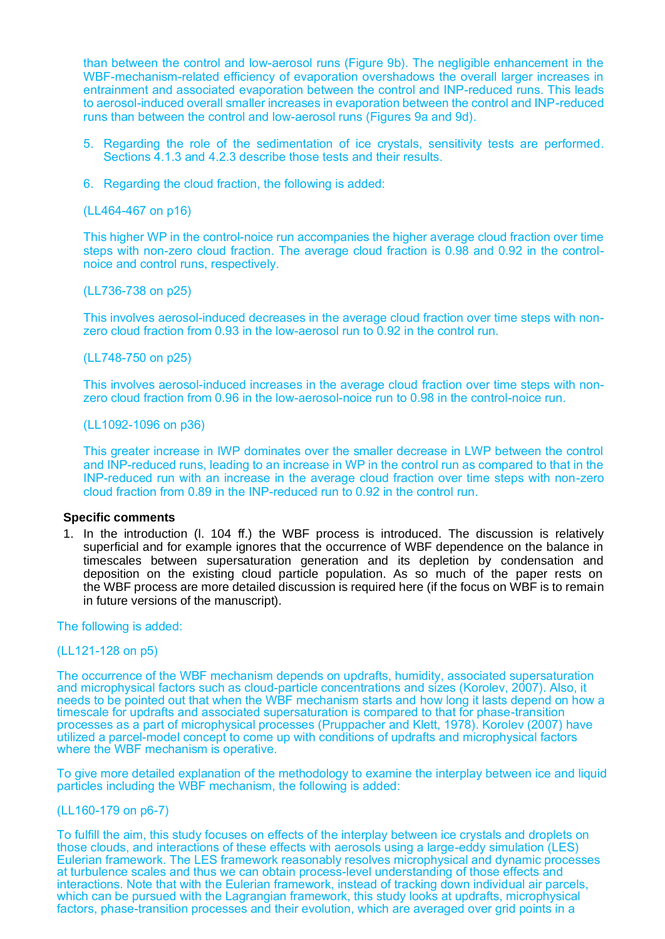than between the control and low-aerosol runs (Figure 9b). The negligible enhancement in the WBF-mechanism-related efficiency of evaporation overshadows the overall larger increases in entrainment and associated evaporation between the control and INP-reduced runs. This leads to aerosol-induced overall smaller increases in evaporation between the control and INP-reduced runs than between the control and low-aerosol runs (Figures 9a and 9d).

- 5. Regarding the role of the sedimentation of ice crystals, sensitivity tests are performed. Sections 4.1.3 and 4.2.3 describe those tests and their results.
- 6. Regarding the cloud fraction, the following is added:

(LL464-467 on p16)

This higher WP in the control-noice run accompanies the higher average cloud fraction over time steps with non-zero cloud fraction. The average cloud fraction is 0.98 and 0.92 in the controlnoice and control runs, respectively.

(LL736-738 on p25)

This involves aerosol-induced decreases in the average cloud fraction over time steps with nonzero cloud fraction from 0.93 in the low-aerosol run to 0.92 in the control run.

(LL748-750 on p25)

This involves aerosol-induced increases in the average cloud fraction over time steps with nonzero cloud fraction from 0.96 in the low-aerosol-noice run to 0.98 in the control-noice run.

(LL1092-1096 on p36)

This greater increase in IWP dominates over the smaller decrease in LWP between the control and INP-reduced runs, leading to an increase in WP in the control run as compared to that in the INP-reduced run with an increase in the average cloud fraction over time steps with non-zero cloud fraction from 0.89 in the INP-reduced run to 0.92 in the control run.

## **Specific comments**

1. In the introduction (l. 104 ff.) the WBF process is introduced. The discussion is relatively superficial and for example ignores that the occurrence of WBF dependence on the balance in timescales between supersaturation generation and its depletion by condensation and deposition on the existing cloud particle population. As so much of the paper rests on the WBF process are more detailed discussion is required here (if the focus on WBF is to remain in future versions of the manuscript).

The following is added:

### (LL121-128 on p5)

The occurrence of the WBF mechanism depends on updrafts, humidity, associated supersaturation and microphysical factors such as cloud-particle concentrations and sizes (Korolev, 2007). Also, it needs to be pointed out that when the WBF mechanism starts and how long it lasts depend on how a timescale for updrafts and associated supersaturation is compared to that for phase-transition processes as a part of microphysical processes (Pruppacher and Klett, 1978). Korolev (2007) have utilized a parcel-model concept to come up with conditions of updrafts and microphysical factors where the WBF mechanism is operative.

To give more detailed explanation of the methodology to examine the interplay between ice and liquid particles including the WBF mechanism, the following is added:

## (LL160-179 on p6-7)

To fulfill the aim, this study focuses on effects of the interplay between ice crystals and droplets on those clouds, and interactions of these effects with aerosols using a large-eddy simulation (LES) Eulerian framework. The LES framework reasonably resolves microphysical and dynamic processes at turbulence scales and thus we can obtain process-level understanding of those effects and interactions. Note that with the Eulerian framework, instead of tracking down individual air parcels, which can be pursued with the Lagrangian framework, this study looks at updrafts, microphysical factors, phase-transition processes and their evolution, which are averaged over grid points in a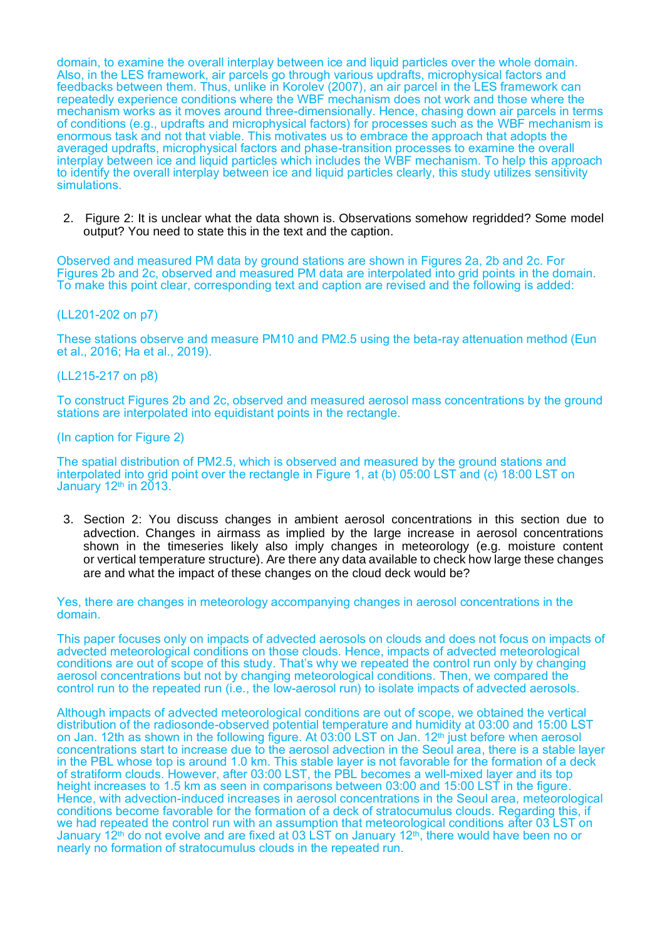domain, to examine the overall interplay between ice and liquid particles over the whole domain. Also, in the LES framework, air parcels go through various updrafts, microphysical factors and feedbacks between them. Thus, unlike in Korolev (2007), an air parcel in the LES framework can repeatedly experience conditions where the WBF mechanism does not work and those where the mechanism works as it moves around three-dimensionally. Hence, chasing down air parcels in terms of conditions (e.g., updrafts and microphysical factors) for processes such as the WBF mechanism is enormous task and not that viable. This motivates us to embrace the approach that adopts the averaged updrafts, microphysical factors and phase-transition processes to examine the overall interplay between ice and liquid particles which includes the WBF mechanism. To help this approach to identify the overall interplay between ice and liquid particles clearly, this study utilizes sensitivity simulations.

2. Figure 2: It is unclear what the data shown is. Observations somehow regridded? Some model output? You need to state this in the text and the caption.

Observed and measured PM data by ground stations are shown in Figures 2a, 2b and 2c. For Figures 2b and 2c, observed and measured PM data are interpolated into grid points in the domain. To make this point clear, corresponding text and caption are revised and the following is added:

## (LL201-202 on p7)

These stations observe and measure PM10 and PM2.5 using the beta-ray attenuation method (Eun et al., 2016; Ha et al., 2019).

### (LL215-217 on p8)

To construct Figures 2b and 2c, observed and measured aerosol mass concentrations by the ground stations are interpolated into equidistant points in the rectangle.

#### (In caption for Figure 2)

The spatial distribution of PM2.5, which is observed and measured by the ground stations and interpolated into grid point over the rectangle in Figure 1, at (b) 05:00 LST and (c) 18:00 LST on January  $12<sup>th</sup>$  in  $2013$ .

3. Section 2: You discuss changes in ambient aerosol concentrations in this section due to advection. Changes in airmass as implied by the large increase in aerosol concentrations shown in the timeseries likely also imply changes in meteorology (e.g. moisture content or vertical temperature structure). Are there any data available to check how large these changes are and what the impact of these changes on the cloud deck would be?

Yes, there are changes in meteorology accompanying changes in aerosol concentrations in the domain.

This paper focuses only on impacts of advected aerosols on clouds and does not focus on impacts of advected meteorological conditions on those clouds. Hence, impacts of advected meteorological conditions are out of scope of this study. That's why we repeated the control run only by changing aerosol concentrations but not by changing meteorological conditions. Then, we compared the control run to the repeated run (i.e., the low-aerosol run) to isolate impacts of advected aerosols.

Although impacts of advected meteorological conditions are out of scope, we obtained the vertical distribution of the radiosonde-observed potential temperature and humidity at 03:00 and 15:00 LST on Jan. 12th as shown in the following figure. At 03:00 LST on Jan. 12<sup>th</sup> just before when aerosol concentrations start to increase due to the aerosol advection in the Seoul area, there is a stable layer in the PBL whose top is around 1.0 km. This stable layer is not favorable for the formation of a deck of stratiform clouds. However, after 03:00 LST, the PBL becomes a well-mixed layer and its top height increases to 1.5 km as seen in comparisons between 03:00 and 15:00 LST in the figure. Hence, with advection-induced increases in aerosol concentrations in the Seoul area, meteorological conditions become favorable for the formation of a deck of stratocumulus clouds. Regarding this, if we had repeated the control run with an assumption that meteorological conditions after 03 LST on January 12<sup>th</sup> do not evolve and are fixed at 03 LST on January 12<sup>th</sup>, there would have been no or nearly no formation of stratocumulus clouds in the repeated run.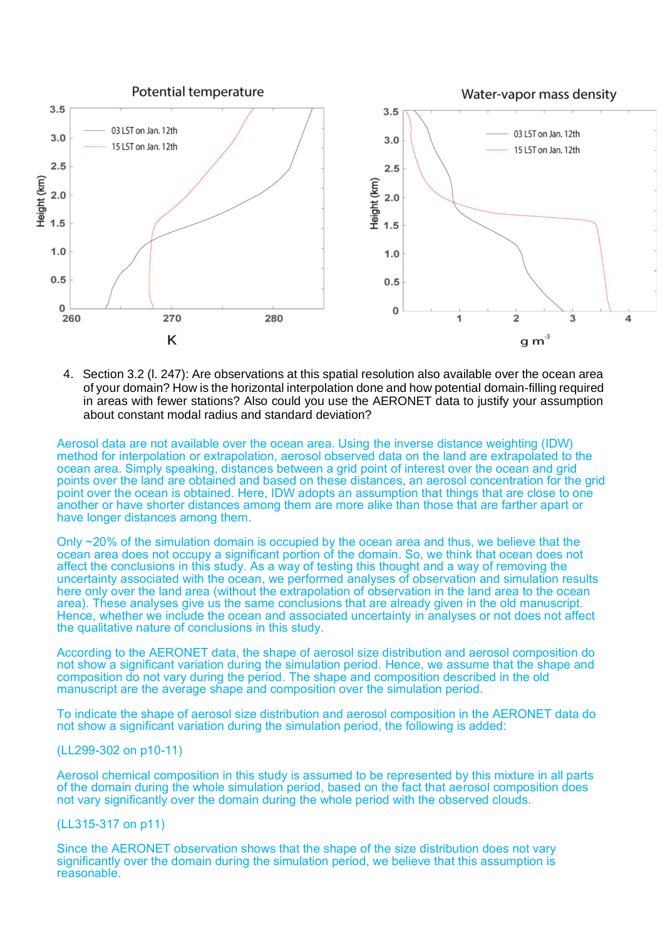

4. Section 3.2 (l. 247): Are observations at this spatial resolution also available over the ocean area of your domain? How is the horizontal interpolation done and how potential domain-filling required in areas with fewer stations? Also could you use the AERONET data to justify your assumption about constant modal radius and standard deviation?

Aerosol data are not available over the ocean area. Using the inverse distance weighting (IDW) method for interpolation or extrapolation, aerosol observed data on the land are extrapolated to the ocean area. Simply speaking, distances between a grid point of interest over the ocean and grid points over the land are obtained and based on these distances, an aerosol concentration for the grid point over the ocean is obtained. Here, IDW adopts an assumption that things that are close to one another or have shorter distances among them are more alike than those that are farther apart or have longer distances among them.

Only ~20% of the simulation domain is occupied by the ocean area and thus, we believe that the ocean area does not occupy a significant portion of the domain. So, we think that ocean does not affect the conclusions in this study. As a way of testing this thought and a way of removing the uncertainty associated with the ocean, we performed analyses of observation and simulation results here only over the land area (without the extrapolation of observation in the land area to the ocean area). These analyses give us the same conclusions that are already given in the old manuscript. Hence, whether we include the ocean and associated uncertainty in analyses or not does not affect the qualitative nature of conclusions in this study.

According to the AERONET data, the shape of aerosol size distribution and aerosol composition do not show a significant variation during the simulation period. Hence, we assume that the shape and composition do not vary during the period. The shape and composition described in the old manuscript are the average shape and composition over the simulation period.

To indicate the shape of aerosol size distribution and aerosol composition in the AERONET data do not show a significant variation during the simulation period, the following is added:

#### (LL299-302 on p10-11)

Aerosol chemical composition in this study is assumed to be represented by this mixture in all parts of the domain during the whole simulation period, based on the fact that aerosol composition does not vary significantly over the domain during the whole period with the observed clouds.

## (LL315-317 on p11)

Since the AERONET observation shows that the shape of the size distribution does not vary significantly over the domain during the simulation period, we believe that this assumption is reasonable.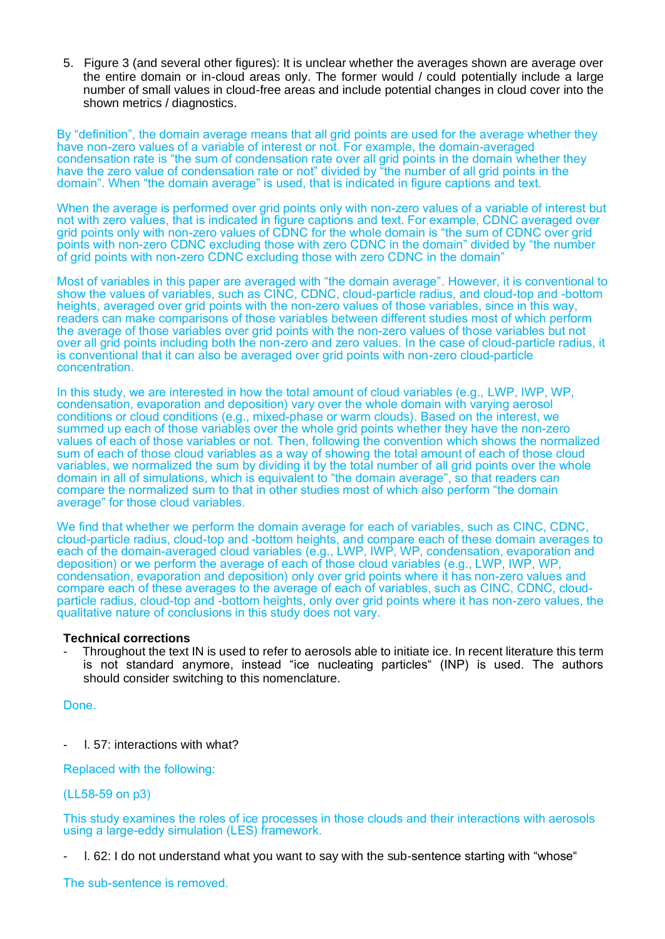5. Figure 3 (and several other figures): It is unclear whether the averages shown are average over the entire domain or in-cloud areas only. The former would / could potentially include a large number of small values in cloud-free areas and include potential changes in cloud cover into the shown metrics / diagnostics.

By "definition", the domain average means that all grid points are used for the average whether they have non-zero values of a variable of interest or not. For example, the domain-averaged condensation rate is "the sum of condensation rate over all grid points in the domain whether they have the zero value of condensation rate or not" divided by "the number of all grid points in the domain". When "the domain average" is used, that is indicated in figure captions and text.

When the average is performed over grid points only with non-zero values of a variable of interest but not with zero values, that is indicated in figure captions and text. For example, CDNC averaged over grid points only with non-zero values of CDNC for the whole domain is "the sum of CDNC over grid points with non-zero CDNC excluding those with zero CDNC in the domain" divided by "the number of grid points with non-zero CDNC excluding those with zero CDNC in the domain"

Most of variables in this paper are averaged with "the domain average". However, it is conventional to show the values of variables, such as CINC, CDNC, cloud-particle radius, and cloud-top and -bottom heights, averaged over grid points with the non-zero values of those variables, since in this way, readers can make comparisons of those variables between different studies most of which perform the average of those variables over grid points with the non-zero values of those variables but not over all grid points including both the non-zero and zero values. In the case of cloud-particle radius, it is conventional that it can also be averaged over grid points with non-zero cloud-particle concentration.

In this study, we are interested in how the total amount of cloud variables (e.g., LWP, IWP, WP, condensation, evaporation and deposition) vary over the whole domain with varying aerosol conditions or cloud conditions (e.g., mixed-phase or warm clouds). Based on the interest, we summed up each of those variables over the whole grid points whether they have the non-zero values of each of those variables or not. Then, following the convention which shows the normalized sum of each of those cloud variables as a way of showing the total amount of each of those cloud variables, we normalized the sum by dividing it by the total number of all grid points over the whole domain in all of simulations, which is equivalent to "the domain average", so that readers can compare the normalized sum to that in other studies most of which also perform "the domain average" for those cloud variables.

We find that whether we perform the domain average for each of variables, such as CINC, CDNC, cloud-particle radius, cloud-top and -bottom heights, and compare each of these domain averages to each of the domain-averaged cloud variables (e.g., LWP, IWP, WP, condensation, evaporation and deposition) or we perform the average of each of those cloud variables (e.g., LWP, IWP, WP, condensation, evaporation and deposition) only over grid points where it has non-zero values and compare each of these averages to the average of each of variables, such as CINC, CDNC, cloudparticle radius, cloud-top and -bottom heights, only over grid points where it has non-zero values, the qualitative nature of conclusions in this study does not vary.

## **Technical corrections**

Throughout the text IN is used to refer to aerosols able to initiate ice. In recent literature this term is not standard anymore, instead "ice nucleating particles" (INP) is used. The authors should consider switching to this nomenclature.

Done.

- l. 57: interactions with what?

Replaced with the following:

## (LL58-59 on p3)

This study examines the roles of ice processes in those clouds and their interactions with aerosols using a large-eddy simulation (LES) framework.

- l. 62: I do not understand what you want to say with the sub-sentence starting with "whose"

The sub-sentence is removed.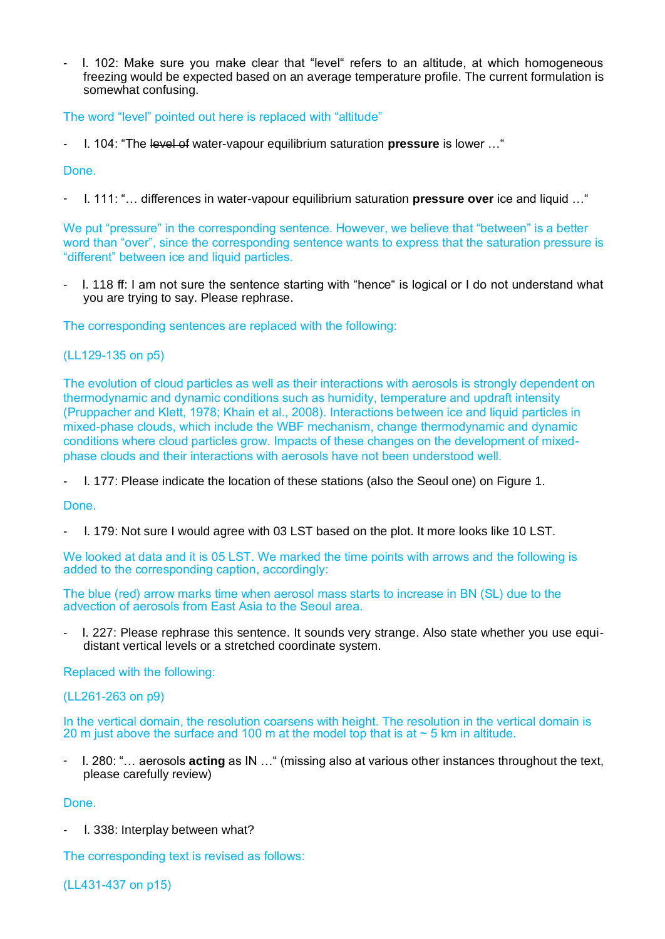- l. 102: Make sure you make clear that "level" refers to an altitude, at which homogeneous freezing would be expected based on an average temperature profile. The current formulation is somewhat confusing.

The word "level" pointed out here is replaced with "altitude"

- l. 104: "The level of water-vapour equilibrium saturation **pressure** is lower …"

Done.

- l. 111: "… differences in water-vapour equilibrium saturation **pressure over** ice and liquid …"

We put "pressure" in the corresponding sentence. However, we believe that "between" is a better word than "over", since the corresponding sentence wants to express that the saturation pressure is "different" between ice and liquid particles.

- I. 118 ff: I am not sure the sentence starting with "hence" is logical or I do not understand what you are trying to say. Please rephrase.

The corresponding sentences are replaced with the following:

(LL129-135 on p5)

The evolution of cloud particles as well as their interactions with aerosols is strongly dependent on thermodynamic and dynamic conditions such as humidity, temperature and updraft intensity (Pruppacher and Klett, 1978; Khain et al., 2008). Interactions between ice and liquid particles in mixed-phase clouds, which include the WBF mechanism, change thermodynamic and dynamic conditions where cloud particles grow. Impacts of these changes on the development of mixedphase clouds and their interactions with aerosols have not been understood well.

- l. 177: Please indicate the location of these stations (also the Seoul one) on Figure 1.

Done.

- l. 179: Not sure I would agree with 03 LST based on the plot. It more looks like 10 LST.

We looked at data and it is 05 LST. We marked the time points with arrows and the following is added to the corresponding caption, accordingly:

The blue (red) arrow marks time when aerosol mass starts to increase in BN (SL) due to the advection of aerosols from East Asia to the Seoul area.

- l. 227: Please rephrase this sentence. It sounds very strange. Also state whether you use equidistant vertical levels or a stretched coordinate system.

Replaced with the following:

(LL261-263 on p9)

In the vertical domain, the resolution coarsens with height. The resolution in the vertical domain is 20 m just above the surface and 100 m at the model top that is at  $\sim$  5 km in altitude.

- l. 280: "… aerosols **acting** as IN …" (missing also at various other instances throughout the text, please carefully review)

Done.

I. 338: Interplay between what?

The corresponding text is revised as follows:

(LL431-437 on p15)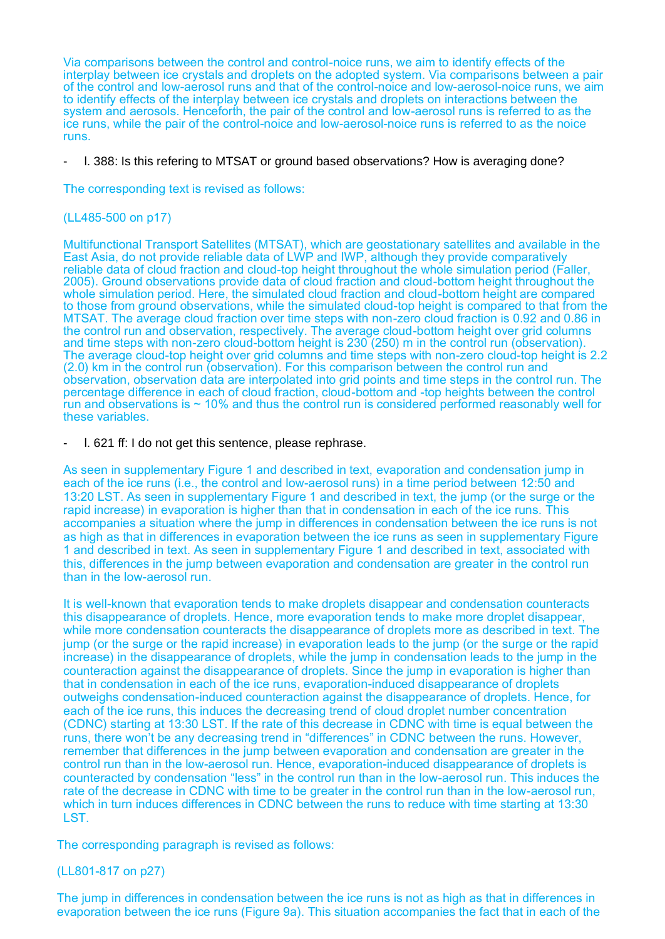Via comparisons between the control and control-noice runs, we aim to identify effects of the interplay between ice crystals and droplets on the adopted system. Via comparisons between a pair of the control and low-aerosol runs and that of the control-noice and low-aerosol-noice runs, we aim to identify effects of the interplay between ice crystals and droplets on interactions between the system and aerosols. Henceforth, the pair of the control and low-aerosol runs is referred to as the ice runs, while the pair of the control-noice and low-aerosol-noice runs is referred to as the noice runs.

1. 388: Is this refering to MTSAT or ground based observations? How is averaging done?

The corresponding text is revised as follows:

## (LL485-500 on p17)

Multifunctional Transport Satellites (MTSAT), which are geostationary satellites and available in the East Asia, do not provide reliable data of LWP and IWP, although they provide comparatively reliable data of cloud fraction and cloud-top height throughout the whole simulation period (Faller, 2005). Ground observations provide data of cloud fraction and cloud-bottom height throughout the whole simulation period. Here, the simulated cloud fraction and cloud-bottom height are compared to those from ground observations, while the simulated cloud-top height is compared to that from the MTSAT. The average cloud fraction over time steps with non-zero cloud fraction is 0.92 and 0.86 in the control run and observation, respectively. The average cloud-bottom height over grid columns and time steps with non-zero cloud-bottom height is 230 (250) m in the control run (observation). The average cloud-top height over grid columns and time steps with non-zero cloud-top height is 2.2 (2.0) km in the control run (observation). For this comparison between the control run and observation, observation data are interpolated into grid points and time steps in the control run. The percentage difference in each of cloud fraction, cloud-bottom and -top heights between the control run and observations is  $\sim$  10% and thus the control run is considered performed reasonably well for these variables.

- l. 621 ff: I do not get this sentence, please rephrase.

As seen in supplementary Figure 1 and described in text, evaporation and condensation jump in each of the ice runs (i.e., the control and low-aerosol runs) in a time period between 12:50 and 13:20 LST. As seen in supplementary Figure 1 and described in text, the jump (or the surge or the rapid increase) in evaporation is higher than that in condensation in each of the ice runs. This accompanies a situation where the jump in differences in condensation between the ice runs is not as high as that in differences in evaporation between the ice runs as seen in supplementary Figure 1 and described in text. As seen in supplementary Figure 1 and described in text, associated with this, differences in the jump between evaporation and condensation are greater in the control run than in the low-aerosol run.

It is well-known that evaporation tends to make droplets disappear and condensation counteracts this disappearance of droplets. Hence, more evaporation tends to make more droplet disappear, while more condensation counteracts the disappearance of droplets more as described in text. The jump (or the surge or the rapid increase) in evaporation leads to the jump (or the surge or the rapid increase) in the disappearance of droplets, while the jump in condensation leads to the jump in the counteraction against the disappearance of droplets. Since the jump in evaporation is higher than that in condensation in each of the ice runs, evaporation-induced disappearance of droplets outweighs condensation-induced counteraction against the disappearance of droplets. Hence, for each of the ice runs, this induces the decreasing trend of cloud droplet number concentration (CDNC) starting at 13:30 LST. If the rate of this decrease in CDNC with time is equal between the runs, there won't be any decreasing trend in "differences" in CDNC between the runs. However, remember that differences in the jump between evaporation and condensation are greater in the control run than in the low-aerosol run. Hence, evaporation-induced disappearance of droplets is counteracted by condensation "less" in the control run than in the low-aerosol run. This induces the rate of the decrease in CDNC with time to be greater in the control run than in the low-aerosol run, which in turn induces differences in CDNC between the runs to reduce with time starting at 13:30 LST.

The corresponding paragraph is revised as follows:

## (LL801-817 on p27)

The jump in differences in condensation between the ice runs is not as high as that in differences in evaporation between the ice runs (Figure 9a). This situation accompanies the fact that in each of the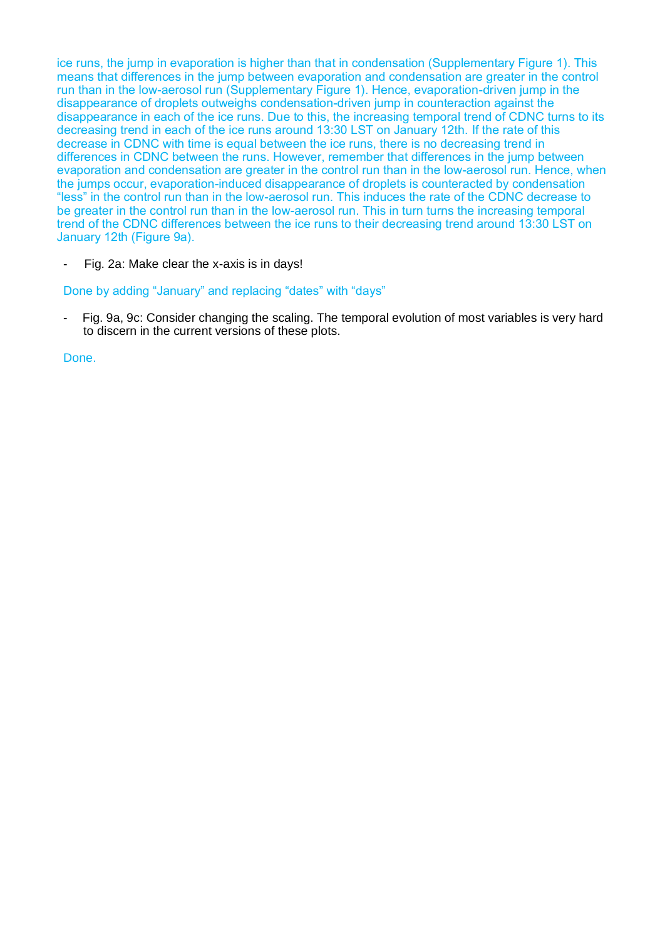ice runs, the jump in evaporation is higher than that in condensation (Supplementary Figure 1). This means that differences in the jump between evaporation and condensation are greater in the control run than in the low-aerosol run (Supplementary Figure 1). Hence, evaporation-driven jump in the disappearance of droplets outweighs condensation-driven jump in counteraction against the disappearance in each of the ice runs. Due to this, the increasing temporal trend of CDNC turns to its decreasing trend in each of the ice runs around 13:30 LST on January 12th. If the rate of this decrease in CDNC with time is equal between the ice runs, there is no decreasing trend in differences in CDNC between the runs. However, remember that differences in the jump between evaporation and condensation are greater in the control run than in the low-aerosol run. Hence, when the jumps occur, evaporation-induced disappearance of droplets is counteracted by condensation "less" in the control run than in the low-aerosol run. This induces the rate of the CDNC decrease to be greater in the control run than in the low-aerosol run. This in turn turns the increasing temporal trend of the CDNC differences between the ice runs to their decreasing trend around 13:30 LST on January 12th (Figure 9a).

- Fig. 2a: Make clear the x-axis is in days!

## Done by adding "January" and replacing "dates" with "days"

Fig. 9a, 9c: Consider changing the scaling. The temporal evolution of most variables is very hard to discern in the current versions of these plots.

Done.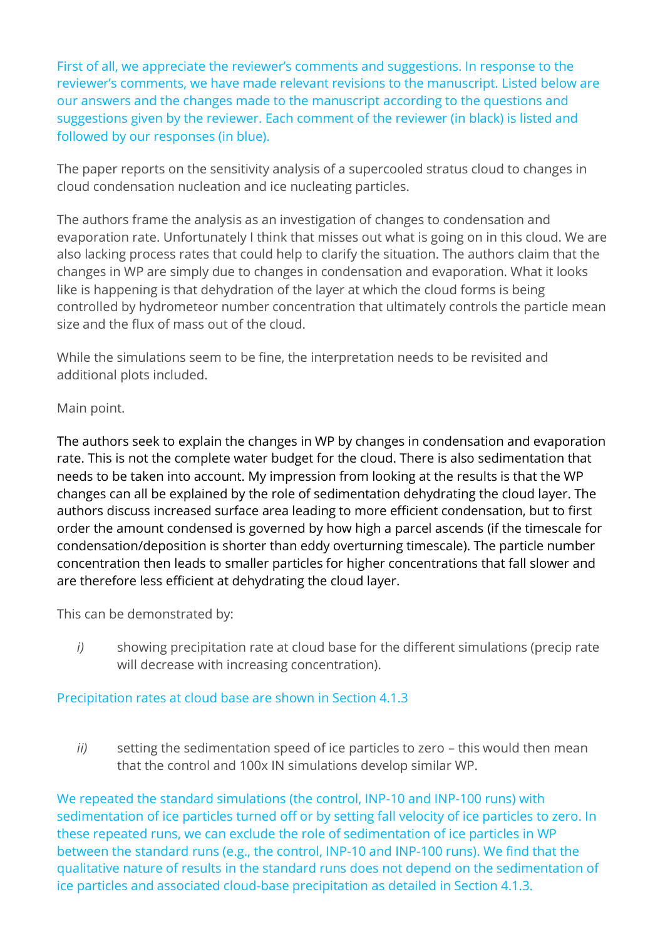First of all, we appreciate the reviewer's comments and suggestions. In response to the reviewer's comments, we have made relevant revisions to the manuscript. Listed below are our answers and the changes made to the manuscript according to the questions and suggestions given by the reviewer. Each comment of the reviewer (in black) is listed and followed by our responses (in blue).

The paper reports on the sensitivity analysis of a supercooled stratus cloud to changes in cloud condensation nucleation and ice nucleating particles.

The authors frame the analysis as an investigation of changes to condensation and evaporation rate. Unfortunately I think that misses out what is going on in this cloud. We are also lacking process rates that could help to clarify the situation. The authors claim that the changes in WP are simply due to changes in condensation and evaporation. What it looks like is happening is that dehydration of the layer at which the cloud forms is being controlled by hydrometeor number concentration that ultimately controls the particle mean size and the flux of mass out of the cloud.

While the simulations seem to be fine, the interpretation needs to be revisited and additional plots included.

# Main point.

The authors seek to explain the changes in WP by changes in condensation and evaporation rate. This is not the complete water budget for the cloud. There is also sedimentation that needs to be taken into account. My impression from looking at the results is that the WP changes can all be explained by the role of sedimentation dehydrating the cloud layer. The authors discuss increased surface area leading to more efficient condensation, but to first order the amount condensed is governed by how high a parcel ascends (if the timescale for condensation/deposition is shorter than eddy overturning timescale). The particle number concentration then leads to smaller particles for higher concentrations that fall slower and are therefore less efficient at dehydrating the cloud layer.

This can be demonstrated by:

*i)* showing precipitation rate at cloud base for the different simulations (precip rate will decrease with increasing concentration).

# Precipitation rates at cloud base are shown in Section 4.1.3

*ii)* setting the sedimentation speed of ice particles to zero – this would then mean that the control and 100x IN simulations develop similar WP.

We repeated the standard simulations (the control, INP-10 and INP-100 runs) with sedimentation of ice particles turned off or by setting fall velocity of ice particles to zero. In these repeated runs, we can exclude the role of sedimentation of ice particles in WP between the standard runs (e.g., the control, INP-10 and INP-100 runs). We find that the qualitative nature of results in the standard runs does not depend on the sedimentation of ice particles and associated cloud-base precipitation as detailed in Section 4.1.3.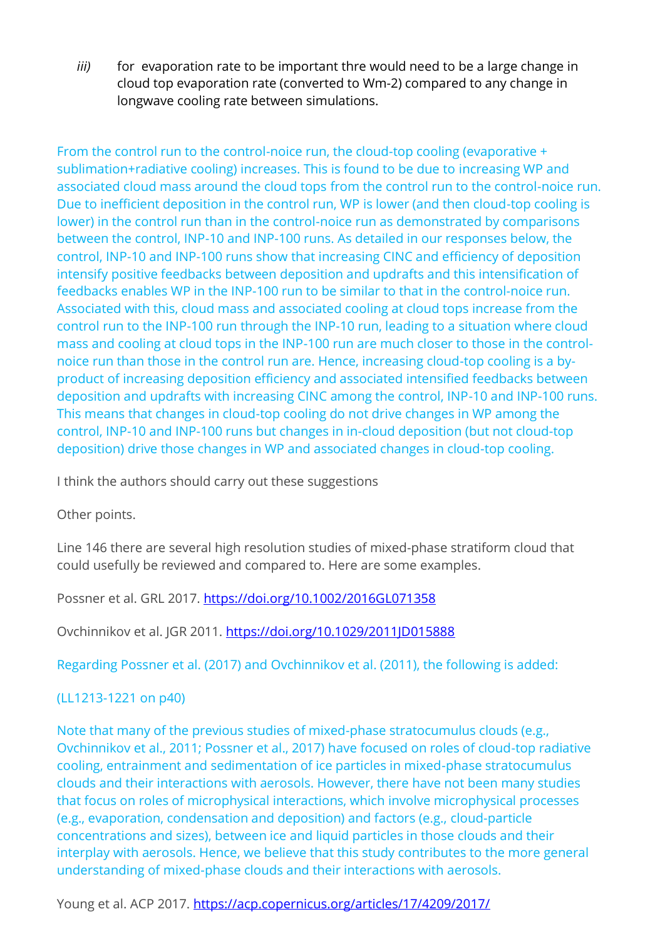*iii)* for evaporation rate to be important thre would need to be a large change in cloud top evaporation rate (converted to Wm-2) compared to any change in longwave cooling rate between simulations.

From the control run to the control-noice run, the cloud-top cooling (evaporative + sublimation+radiative cooling) increases. This is found to be due to increasing WP and associated cloud mass around the cloud tops from the control run to the control-noice run. Due to inefficient deposition in the control run, WP is lower (and then cloud-top cooling is lower) in the control run than in the control-noice run as demonstrated by comparisons between the control, INP-10 and INP-100 runs. As detailed in our responses below, the control, INP-10 and INP-100 runs show that increasing CINC and efficiency of deposition intensify positive feedbacks between deposition and updrafts and this intensification of feedbacks enables WP in the INP-100 run to be similar to that in the control-noice run. Associated with this, cloud mass and associated cooling at cloud tops increase from the control run to the INP-100 run through the INP-10 run, leading to a situation where cloud mass and cooling at cloud tops in the INP-100 run are much closer to those in the controlnoice run than those in the control run are. Hence, increasing cloud-top cooling is a byproduct of increasing deposition efficiency and associated intensified feedbacks between deposition and updrafts with increasing CINC among the control, INP-10 and INP-100 runs. This means that changes in cloud-top cooling do not drive changes in WP among the control, INP-10 and INP-100 runs but changes in in-cloud deposition (but not cloud-top deposition) drive those changes in WP and associated changes in cloud-top cooling.

I think the authors should carry out these suggestions

Other points.

Line 146 there are several high resolution studies of mixed-phase stratiform cloud that could usefully be reviewed and compared to. Here are some examples.

Possner et al. GRL 2017.<https://doi.org/10.1002/2016GL071358>

Ovchinnikov et al. JGR 2011.<https://doi.org/10.1029/2011JD015888>

Regarding Possner et al. (2017) and Ovchinnikov et al. (2011), the following is added:

# (LL1213-1221 on p40)

Note that many of the previous studies of mixed-phase stratocumulus clouds (e.g., Ovchinnikov et al., 2011; Possner et al., 2017) have focused on roles of cloud-top radiative cooling, entrainment and sedimentation of ice particles in mixed-phase stratocumulus clouds and their interactions with aerosols. However, there have not been many studies that focus on roles of microphysical interactions, which involve microphysical processes (e.g., evaporation, condensation and deposition) and factors (e.g., cloud-particle concentrations and sizes), between ice and liquid particles in those clouds and their interplay with aerosols. Hence, we believe that this study contributes to the more general understanding of mixed-phase clouds and their interactions with aerosols.

Young et al. ACP 2017.<https://acp.copernicus.org/articles/17/4209/2017/>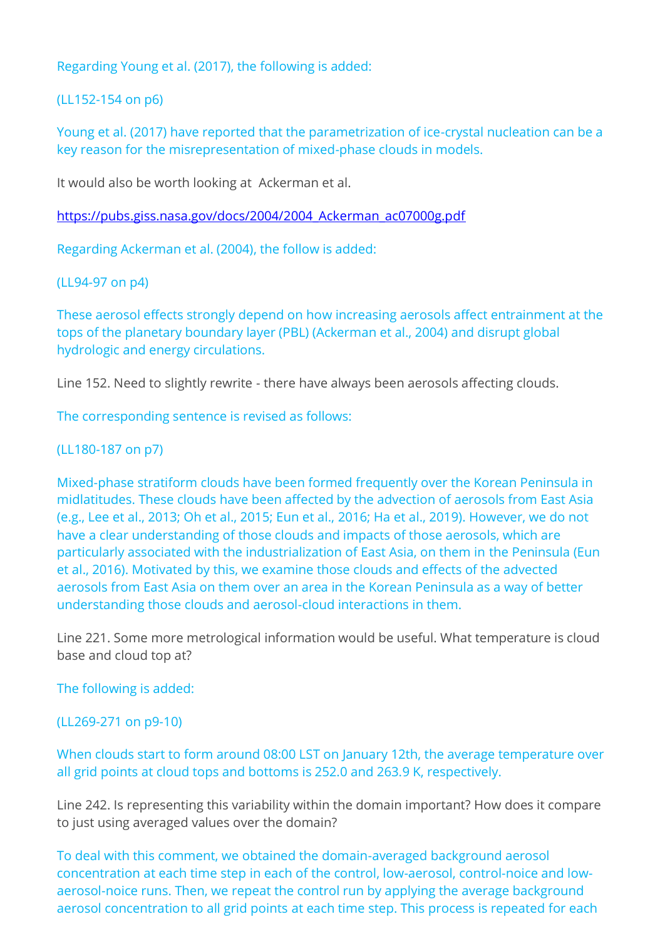Regarding Young et al. (2017), the following is added:

(LL152-154 on p6)

Young et al. (2017) have reported that the parametrization of ice-crystal nucleation can be a key reason for the misrepresentation of mixed-phase clouds in models.

It would also be worth looking at Ackerman et al.

https://pubs.giss.nasa.gov/docs/2004/2004 Ackerman\_ac07000g.pdf

Regarding Ackerman et al. (2004), the follow is added:

(LL94-97 on p4)

These aerosol effects strongly depend on how increasing aerosols affect entrainment at the tops of the planetary boundary layer (PBL) (Ackerman et al., 2004) and disrupt global hydrologic and energy circulations.

Line 152. Need to slightly rewrite - there have always been aerosols affecting clouds.

The corresponding sentence is revised as follows:

## (LL180-187 on p7)

Mixed-phase stratiform clouds have been formed frequently over the Korean Peninsula in midlatitudes. These clouds have been affected by the advection of aerosols from East Asia (e.g., Lee et al., 2013; Oh et al., 2015; Eun et al., 2016; Ha et al., 2019). However, we do not have a clear understanding of those clouds and impacts of those aerosols, which are particularly associated with the industrialization of East Asia, on them in the Peninsula (Eun et al., 2016). Motivated by this, we examine those clouds and effects of the advected aerosols from East Asia on them over an area in the Korean Peninsula as a way of better understanding those clouds and aerosol-cloud interactions in them.

Line 221. Some more metrological information would be useful. What temperature is cloud base and cloud top at?

The following is added:

(LL269-271 on p9-10)

# When clouds start to form around 08:00 LST on January 12th, the average temperature over all grid points at cloud tops and bottoms is 252.0 and 263.9 K, respectively.

Line 242. Is representing this variability within the domain important? How does it compare to just using averaged values over the domain?

To deal with this comment, we obtained the domain-averaged background aerosol concentration at each time step in each of the control, low-aerosol, control-noice and lowaerosol-noice runs. Then, we repeat the control run by applying the average background aerosol concentration to all grid points at each time step. This process is repeated for each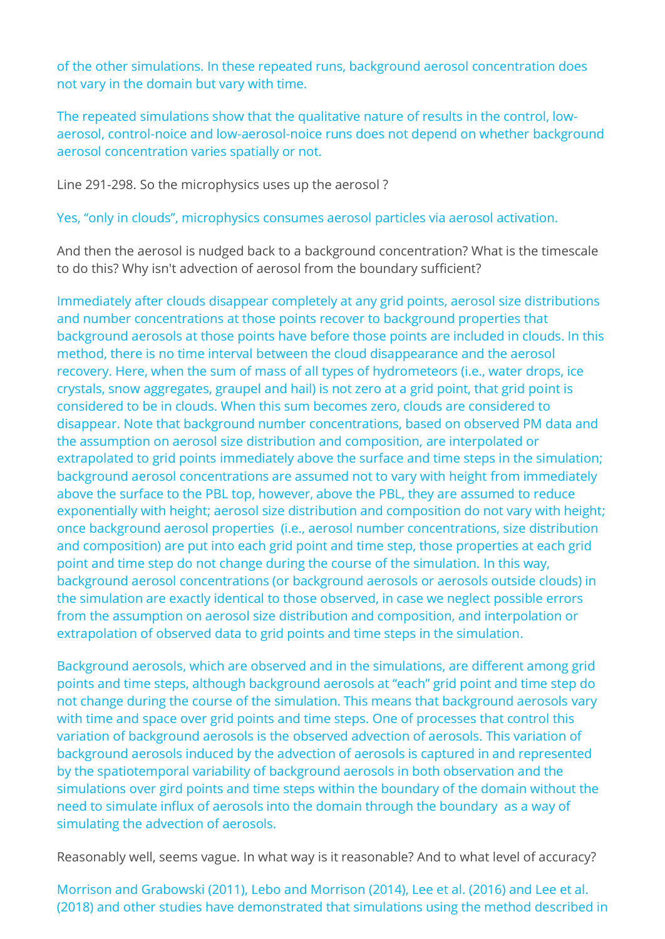of the other simulations. In these repeated runs, background aerosol concentration does not vary in the domain but vary with time.

The repeated simulations show that the qualitative nature of results in the control, lowaerosol, control-noice and low-aerosol-noice runs does not depend on whether background aerosol concentration varies spatially or not.

Line 291-298. So the microphysics uses up the aerosol ?

Yes, "only in clouds", microphysics consumes aerosol particles via aerosol activation.

And then the aerosol is nudged back to a background concentration? What is the timescale to do this? Why isn't advection of aerosol from the boundary sufficient?

Immediately after clouds disappear completely at any grid points, aerosol size distributions and number concentrations at those points recover to background properties that background aerosols at those points have before those points are included in clouds. In this method, there is no time interval between the cloud disappearance and the aerosol recovery. Here, when the sum of mass of all types of hydrometeors (i.e., water drops, ice crystals, snow aggregates, graupel and hail) is not zero at a grid point, that grid point is considered to be in clouds. When this sum becomes zero, clouds are considered to disappear. Note that background number concentrations, based on observed PM data and the assumption on aerosol size distribution and composition, are interpolated or extrapolated to grid points immediately above the surface and time steps in the simulation; background aerosol concentrations are assumed not to vary with height from immediately above the surface to the PBL top, however, above the PBL, they are assumed to reduce exponentially with height; aerosol size distribution and composition do not vary with height; once background aerosol properties (i.e., aerosol number concentrations, size distribution and composition) are put into each grid point and time step, those properties at each grid point and time step do not change during the course of the simulation. In this way, background aerosol concentrations (or background aerosols or aerosols outside clouds) in the simulation are exactly identical to those observed, in case we neglect possible errors from the assumption on aerosol size distribution and composition, and interpolation or extrapolation of observed data to grid points and time steps in the simulation.

Background aerosols, which are observed and in the simulations, are different among grid points and time steps, although background aerosols at "each" grid point and time step do not change during the course of the simulation. This means that background aerosols vary with time and space over grid points and time steps. One of processes that control this variation of background aerosols is the observed advection of aerosols. This variation of background aerosols induced by the advection of aerosols is captured in and represented by the spatiotemporal variability of background aerosols in both observation and the simulations over gird points and time steps within the boundary of the domain without the need to simulate influx of aerosols into the domain through the boundary as a way of simulating the advection of aerosols.

Reasonably well, seems vague. In what way is it reasonable? And to what level of accuracy?

Morrison and Grabowski (2011), Lebo and Morrison (2014), Lee et al. (2016) and Lee et al. (2018) and other studies have demonstrated that simulations using the method described in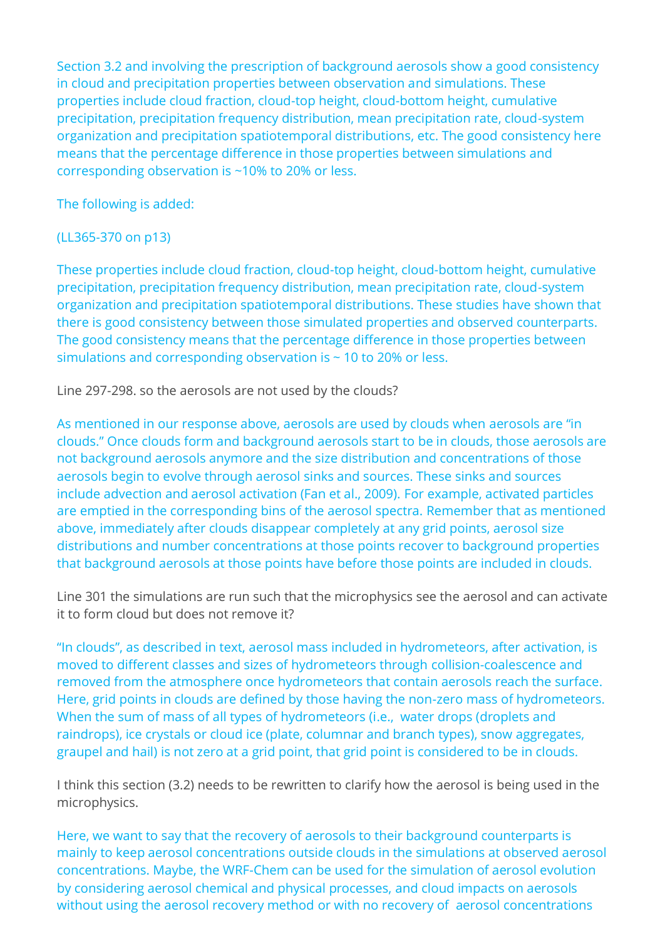Section 3.2 and involving the prescription of background aerosols show a good consistency in cloud and precipitation properties between observation and simulations. These properties include cloud fraction, cloud-top height, cloud-bottom height, cumulative precipitation, precipitation frequency distribution, mean precipitation rate, cloud-system organization and precipitation spatiotemporal distributions, etc. The good consistency here means that the percentage difference in those properties between simulations and corresponding observation is ~10% to 20% or less.

The following is added:

# (LL365-370 on p13)

These properties include cloud fraction, cloud-top height, cloud-bottom height, cumulative precipitation, precipitation frequency distribution, mean precipitation rate, cloud-system organization and precipitation spatiotemporal distributions. These studies have shown that there is good consistency between those simulated properties and observed counterparts. The good consistency means that the percentage difference in those properties between simulations and corresponding observation is ~ 10 to 20% or less.

Line 297-298. so the aerosols are not used by the clouds?

As mentioned in our response above, aerosols are used by clouds when aerosols are "in clouds." Once clouds form and background aerosols start to be in clouds, those aerosols are not background aerosols anymore and the size distribution and concentrations of those aerosols begin to evolve through aerosol sinks and sources. These sinks and sources include advection and aerosol activation (Fan et al., 2009). For example, activated particles are emptied in the corresponding bins of the aerosol spectra. Remember that as mentioned above, immediately after clouds disappear completely at any grid points, aerosol size distributions and number concentrations at those points recover to background properties that background aerosols at those points have before those points are included in clouds.

Line 301 the simulations are run such that the microphysics see the aerosol and can activate it to form cloud but does not remove it?

"In clouds", as described in text, aerosol mass included in hydrometeors, after activation, is moved to different classes and sizes of hydrometeors through collision-coalescence and removed from the atmosphere once hydrometeors that contain aerosols reach the surface. Here, grid points in clouds are defined by those having the non-zero mass of hydrometeors. When the sum of mass of all types of hydrometeors (i.e., water drops (droplets and raindrops), ice crystals or cloud ice (plate, columnar and branch types), snow aggregates, graupel and hail) is not zero at a grid point, that grid point is considered to be in clouds.

I think this section (3.2) needs to be rewritten to clarify how the aerosol is being used in the microphysics.

Here, we want to say that the recovery of aerosols to their background counterparts is mainly to keep aerosol concentrations outside clouds in the simulations at observed aerosol concentrations. Maybe, the WRF-Chem can be used for the simulation of aerosol evolution by considering aerosol chemical and physical processes, and cloud impacts on aerosols without using the aerosol recovery method or with no recovery of aerosol concentrations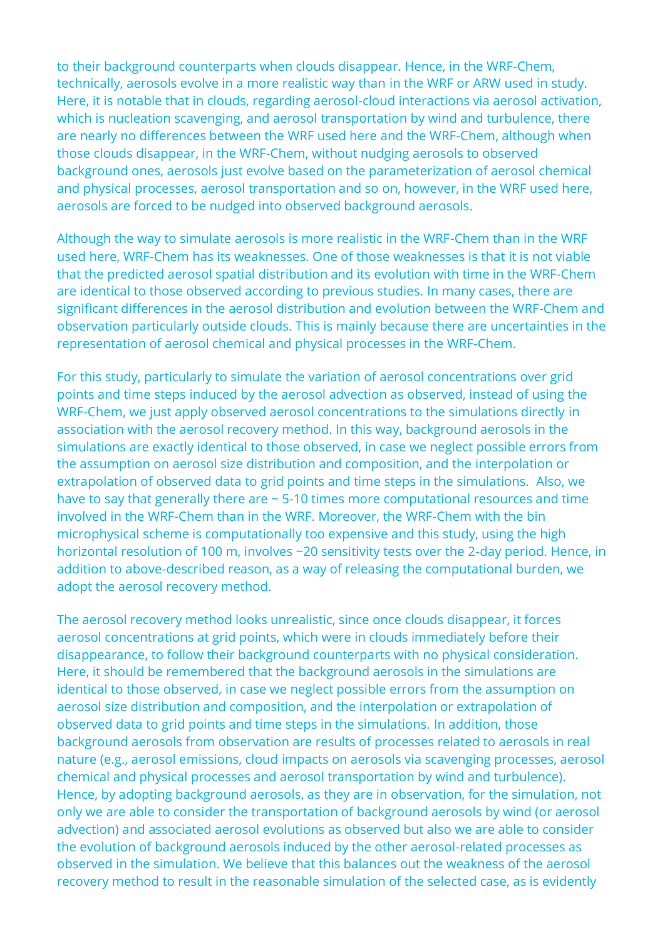to their background counterparts when clouds disappear. Hence, in the WRF-Chem, technically, aerosols evolve in a more realistic way than in the WRF or ARW used in study. Here, it is notable that in clouds, regarding aerosol-cloud interactions via aerosol activation, which is nucleation scavenging, and aerosol transportation by wind and turbulence, there are nearly no differences between the WRF used here and the WRF-Chem, although when those clouds disappear, in the WRF-Chem, without nudging aerosols to observed background ones, aerosols just evolve based on the parameterization of aerosol chemical and physical processes, aerosol transportation and so on, however, in the WRF used here, aerosols are forced to be nudged into observed background aerosols.

Although the way to simulate aerosols is more realistic in the WRF-Chem than in the WRF used here, WRF-Chem has its weaknesses. One of those weaknesses is that it is not viable that the predicted aerosol spatial distribution and its evolution with time in the WRF-Chem are identical to those observed according to previous studies. In many cases, there are significant differences in the aerosol distribution and evolution between the WRF-Chem and observation particularly outside clouds. This is mainly because there are uncertainties in the representation of aerosol chemical and physical processes in the WRF-Chem.

For this study, particularly to simulate the variation of aerosol concentrations over grid points and time steps induced by the aerosol advection as observed, instead of using the WRF-Chem, we just apply observed aerosol concentrations to the simulations directly in association with the aerosol recovery method. In this way, background aerosols in the simulations are exactly identical to those observed, in case we neglect possible errors from the assumption on aerosol size distribution and composition, and the interpolation or extrapolation of observed data to grid points and time steps in the simulations. Also, we have to say that generally there are ~ 5-10 times more computational resources and time involved in the WRF-Chem than in the WRF. Moreover, the WRF-Chem with the bin microphysical scheme is computationally too expensive and this study, using the high horizontal resolution of 100 m, involves ~20 sensitivity tests over the 2-day period. Hence, in addition to above-described reason, as a way of releasing the computational burden, we adopt the aerosol recovery method.

The aerosol recovery method looks unrealistic, since once clouds disappear, it forces aerosol concentrations at grid points, which were in clouds immediately before their disappearance, to follow their background counterparts with no physical consideration. Here, it should be remembered that the background aerosols in the simulations are identical to those observed, in case we neglect possible errors from the assumption on aerosol size distribution and composition, and the interpolation or extrapolation of observed data to grid points and time steps in the simulations. In addition, those background aerosols from observation are results of processes related to aerosols in real nature (e.g., aerosol emissions, cloud impacts on aerosols via scavenging processes, aerosol chemical and physical processes and aerosol transportation by wind and turbulence). Hence, by adopting background aerosols, as they are in observation, for the simulation, not only we are able to consider the transportation of background aerosols by wind (or aerosol advection) and associated aerosol evolutions as observed but also we are able to consider the evolution of background aerosols induced by the other aerosol-related processes as observed in the simulation. We believe that this balances out the weakness of the aerosol recovery method to result in the reasonable simulation of the selected case, as is evidently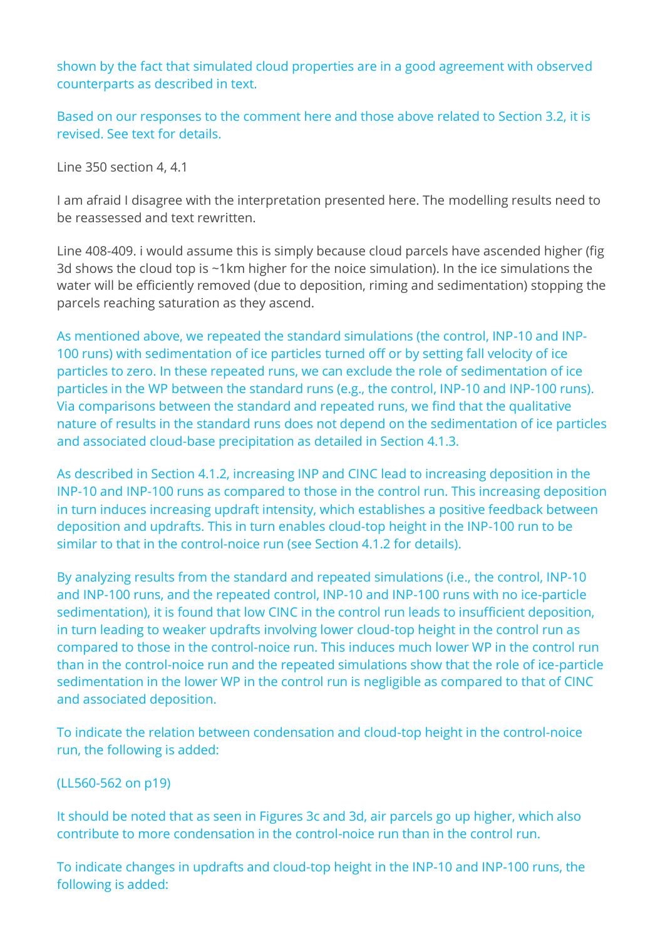shown by the fact that simulated cloud properties are in a good agreement with observed counterparts as described in text.

Based on our responses to the comment here and those above related to Section 3.2, it is revised. See text for details.

Line 350 section 4, 4.1

I am afraid I disagree with the interpretation presented here. The modelling results need to be reassessed and text rewritten.

Line 408-409. i would assume this is simply because cloud parcels have ascended higher (fig 3d shows the cloud top is ~1km higher for the noice simulation). In the ice simulations the water will be efficiently removed (due to deposition, riming and sedimentation) stopping the parcels reaching saturation as they ascend.

As mentioned above, we repeated the standard simulations (the control, INP-10 and INP-100 runs) with sedimentation of ice particles turned off or by setting fall velocity of ice particles to zero. In these repeated runs, we can exclude the role of sedimentation of ice particles in the WP between the standard runs (e.g., the control, INP-10 and INP-100 runs). Via comparisons between the standard and repeated runs, we find that the qualitative nature of results in the standard runs does not depend on the sedimentation of ice particles and associated cloud-base precipitation as detailed in Section 4.1.3.

As described in Section 4.1.2, increasing INP and CINC lead to increasing deposition in the INP-10 and INP-100 runs as compared to those in the control run. This increasing deposition in turn induces increasing updraft intensity, which establishes a positive feedback between deposition and updrafts. This in turn enables cloud-top height in the INP-100 run to be similar to that in the control-noice run (see Section 4.1.2 for details).

By analyzing results from the standard and repeated simulations (i.e., the control, INP-10 and INP-100 runs, and the repeated control, INP-10 and INP-100 runs with no ice-particle sedimentation), it is found that low CINC in the control run leads to insufficient deposition, in turn leading to weaker updrafts involving lower cloud-top height in the control run as compared to those in the control-noice run. This induces much lower WP in the control run than in the control-noice run and the repeated simulations show that the role of ice-particle sedimentation in the lower WP in the control run is negligible as compared to that of CINC and associated deposition.

To indicate the relation between condensation and cloud-top height in the control-noice run, the following is added:

(LL560-562 on p19)

It should be noted that as seen in Figures 3c and 3d, air parcels go up higher, which also contribute to more condensation in the control-noice run than in the control run.

To indicate changes in updrafts and cloud-top height in the INP-10 and INP-100 runs, the following is added: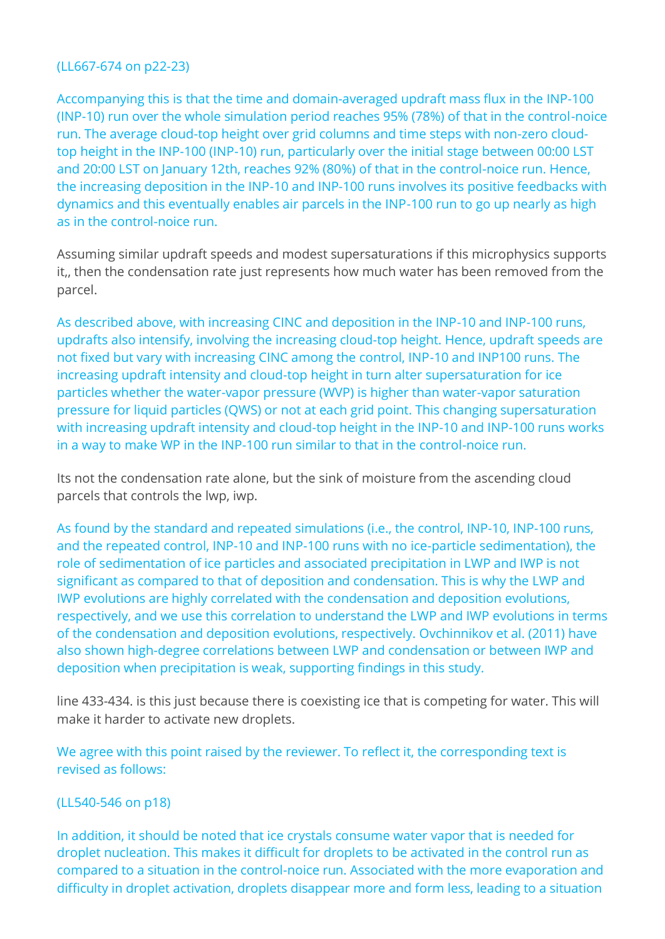## (LL667-674 on p22-23)

Accompanying this is that the time and domain-averaged updraft mass flux in the INP-100 (INP-10) run over the whole simulation period reaches 95% (78%) of that in the control-noice run. The average cloud-top height over grid columns and time steps with non-zero cloudtop height in the INP-100 (INP-10) run, particularly over the initial stage between 00:00 LST and 20:00 LST on January 12th, reaches 92% (80%) of that in the control-noice run. Hence, the increasing deposition in the INP-10 and INP-100 runs involves its positive feedbacks with dynamics and this eventually enables air parcels in the INP-100 run to go up nearly as high as in the control-noice run.

Assuming similar updraft speeds and modest supersaturations if this microphysics supports it,, then the condensation rate just represents how much water has been removed from the parcel.

As described above, with increasing CINC and deposition in the INP-10 and INP-100 runs, updrafts also intensify, involving the increasing cloud-top height. Hence, updraft speeds are not fixed but vary with increasing CINC among the control, INP-10 and INP100 runs. The increasing updraft intensity and cloud-top height in turn alter supersaturation for ice particles whether the water-vapor pressure (WVP) is higher than water-vapor saturation pressure for liquid particles (QWS) or not at each grid point. This changing supersaturation with increasing updraft intensity and cloud-top height in the INP-10 and INP-100 runs works in a way to make WP in the INP-100 run similar to that in the control-noice run.

Its not the condensation rate alone, but the sink of moisture from the ascending cloud parcels that controls the lwp, iwp.

As found by the standard and repeated simulations (i.e., the control, INP-10, INP-100 runs, and the repeated control, INP-10 and INP-100 runs with no ice-particle sedimentation), the role of sedimentation of ice particles and associated precipitation in LWP and IWP is not significant as compared to that of deposition and condensation. This is why the LWP and IWP evolutions are highly correlated with the condensation and deposition evolutions, respectively, and we use this correlation to understand the LWP and IWP evolutions in terms of the condensation and deposition evolutions, respectively. Ovchinnikov et al. (2011) have also shown high-degree correlations between LWP and condensation or between IWP and deposition when precipitation is weak, supporting findings in this study.

line 433-434. is this just because there is coexisting ice that is competing for water. This will make it harder to activate new droplets.

We agree with this point raised by the reviewer. To reflect it, the corresponding text is revised as follows:

## (LL540-546 on p18)

In addition, it should be noted that ice crystals consume water vapor that is needed for droplet nucleation. This makes it difficult for droplets to be activated in the control run as compared to a situation in the control-noice run. Associated with the more evaporation and difficulty in droplet activation, droplets disappear more and form less, leading to a situation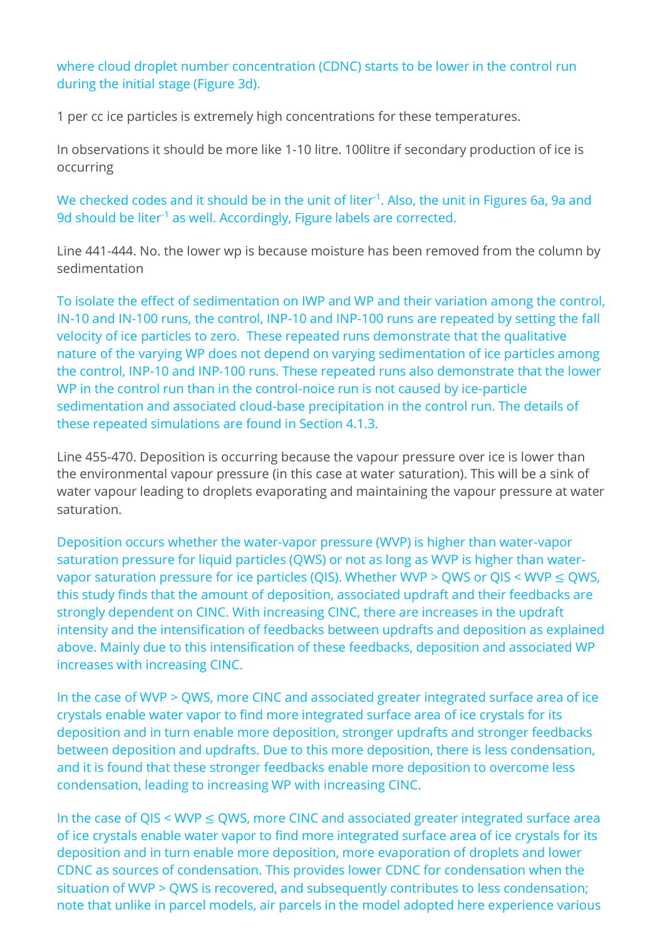where cloud droplet number concentration (CDNC) starts to be lower in the control run during the initial stage (Figure 3d).

1 per cc ice particles is extremely high concentrations for these temperatures.

In observations it should be more like 1-10 litre. 100litre if secondary production of ice is occurring

We checked codes and it should be in the unit of liter<sup>-1</sup>. Also, the unit in Figures 6a, 9a and 9d should be liter<sup>-1</sup> as well. Accordingly, Figure labels are corrected.

Line 441-444. No. the lower wp is because moisture has been removed from the column by sedimentation

To isolate the effect of sedimentation on IWP and WP and their variation among the control, IN-10 and IN-100 runs, the control, INP-10 and INP-100 runs are repeated by setting the fall velocity of ice particles to zero. These repeated runs demonstrate that the qualitative nature of the varying WP does not depend on varying sedimentation of ice particles among the control, INP-10 and INP-100 runs. These repeated runs also demonstrate that the lower WP in the control run than in the control-noice run is not caused by ice-particle sedimentation and associated cloud-base precipitation in the control run. The details of these repeated simulations are found in Section 4.1.3.

Line 455-470. Deposition is occurring because the vapour pressure over ice is lower than the environmental vapour pressure (in this case at water saturation). This will be a sink of water vapour leading to droplets evaporating and maintaining the vapour pressure at water saturation.

Deposition occurs whether the water-vapor pressure (WVP) is higher than water-vapor saturation pressure for liquid particles (QWS) or not as long as WVP is higher than watervapor saturation pressure for ice particles (QIS). Whether WVP > QWS or QIS < WVP  $\leq$  QWS, this study finds that the amount of deposition, associated updraft and their feedbacks are strongly dependent on CINC. With increasing CINC, there are increases in the updraft intensity and the intensification of feedbacks between updrafts and deposition as explained above. Mainly due to this intensification of these feedbacks, deposition and associated WP increases with increasing CINC.

In the case of WVP > QWS, more CINC and associated greater integrated surface area of ice crystals enable water vapor to find more integrated surface area of ice crystals for its deposition and in turn enable more deposition, stronger updrafts and stronger feedbacks between deposition and updrafts. Due to this more deposition, there is less condensation, and it is found that these stronger feedbacks enable more deposition to overcome less condensation, leading to increasing WP with increasing CINC.

In the case of QIS < WVP  $\leq$  QWS, more CINC and associated greater integrated surface area of ice crystals enable water vapor to find more integrated surface area of ice crystals for its deposition and in turn enable more deposition, more evaporation of droplets and lower CDNC as sources of condensation. This provides lower CDNC for condensation when the situation of WVP > QWS is recovered, and subsequently contributes to less condensation; note that unlike in parcel models, air parcels in the model adopted here experience various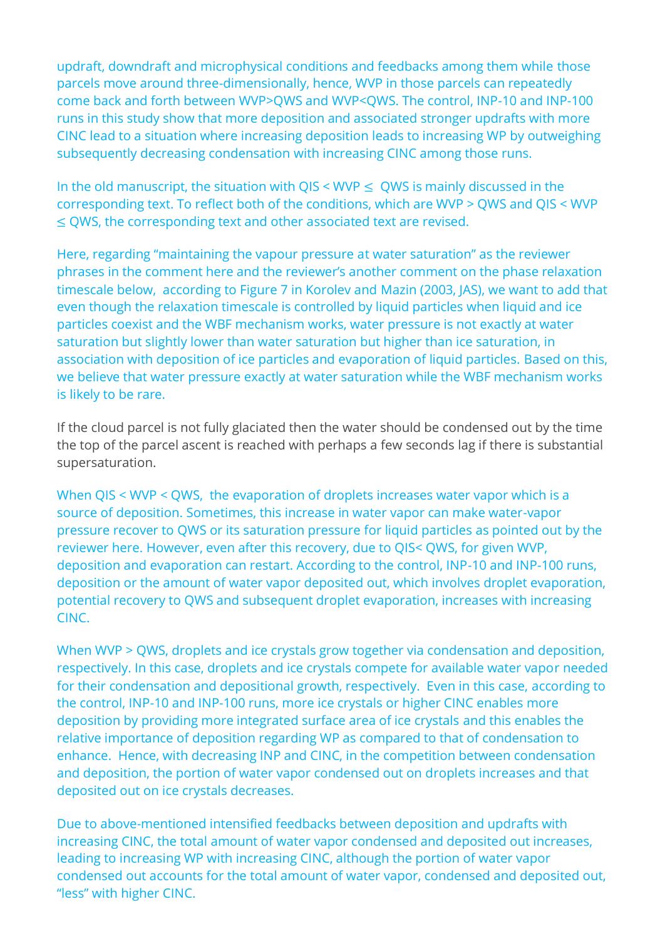updraft, downdraft and microphysical conditions and feedbacks among them while those parcels move around three-dimensionally, hence, WVP in those parcels can repeatedly come back and forth between WVP>QWS and WVP<QWS. The control, INP-10 and INP-100 runs in this study show that more deposition and associated stronger updrafts with more CINC lead to a situation where increasing deposition leads to increasing WP by outweighing subsequently decreasing condensation with increasing CINC among those runs.

In the old manuscript, the situation with  $\text{OIS} < \text{WVP} \leq \text{OWS}$  is mainly discussed in the corresponding text. To reflect both of the conditions, which are WVP > QWS and QIS < WVP ≤ QWS, the corresponding text and other associated text are revised.

Here, regarding "maintaining the vapour pressure at water saturation" as the reviewer phrases in the comment here and the reviewer's another comment on the phase relaxation timescale below, according to Figure 7 in Korolev and Mazin (2003, JAS), we want to add that even though the relaxation timescale is controlled by liquid particles when liquid and ice particles coexist and the WBF mechanism works, water pressure is not exactly at water saturation but slightly lower than water saturation but higher than ice saturation, in association with deposition of ice particles and evaporation of liquid particles. Based on this, we believe that water pressure exactly at water saturation while the WBF mechanism works is likely to be rare.

If the cloud parcel is not fully glaciated then the water should be condensed out by the time the top of the parcel ascent is reached with perhaps a few seconds lag if there is substantial supersaturation.

When QIS < WVP < QWS, the evaporation of droplets increases water vapor which is a source of deposition. Sometimes, this increase in water vapor can make water-vapor pressure recover to QWS or its saturation pressure for liquid particles as pointed out by the reviewer here. However, even after this recovery, due to QIS< QWS, for given WVP, deposition and evaporation can restart. According to the control, INP-10 and INP-100 runs, deposition or the amount of water vapor deposited out, which involves droplet evaporation, potential recovery to QWS and subsequent droplet evaporation, increases with increasing CINC.

When WVP > QWS, droplets and ice crystals grow together via condensation and deposition, respectively. In this case, droplets and ice crystals compete for available water vapor needed for their condensation and depositional growth, respectively. Even in this case, according to the control, INP-10 and INP-100 runs, more ice crystals or higher CINC enables more deposition by providing more integrated surface area of ice crystals and this enables the relative importance of deposition regarding WP as compared to that of condensation to enhance. Hence, with decreasing INP and CINC, in the competition between condensation and deposition, the portion of water vapor condensed out on droplets increases and that deposited out on ice crystals decreases.

Due to above-mentioned intensified feedbacks between deposition and updrafts with increasing CINC, the total amount of water vapor condensed and deposited out increases, leading to increasing WP with increasing CINC, although the portion of water vapor condensed out accounts for the total amount of water vapor, condensed and deposited out, "less" with higher CINC.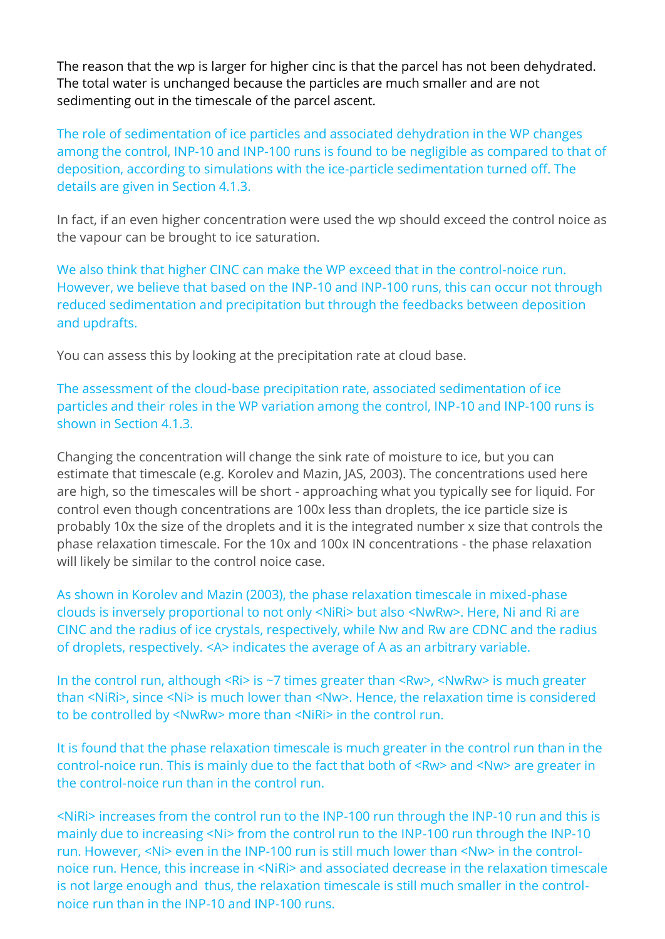The reason that the wp is larger for higher cinc is that the parcel has not been dehydrated. The total water is unchanged because the particles are much smaller and are not sedimenting out in the timescale of the parcel ascent.

The role of sedimentation of ice particles and associated dehydration in the WP changes among the control, INP-10 and INP-100 runs is found to be negligible as compared to that of deposition, according to simulations with the ice-particle sedimentation turned off. The details are given in Section 4.1.3.

In fact, if an even higher concentration were used the wp should exceed the control noice as the vapour can be brought to ice saturation.

We also think that higher CINC can make the WP exceed that in the control-noice run. However, we believe that based on the INP-10 and INP-100 runs, this can occur not through reduced sedimentation and precipitation but through the feedbacks between deposition and updrafts.

You can assess this by looking at the precipitation rate at cloud base.

The assessment of the cloud-base precipitation rate, associated sedimentation of ice particles and their roles in the WP variation among the control, INP-10 and INP-100 runs is shown in Section 4.1.3.

Changing the concentration will change the sink rate of moisture to ice, but you can estimate that timescale (e.g. Korolev and Mazin, JAS, 2003). The concentrations used here are high, so the timescales will be short - approaching what you typically see for liquid. For control even though concentrations are 100x less than droplets, the ice particle size is probably 10x the size of the droplets and it is the integrated number x size that controls the phase relaxation timescale. For the 10x and 100x IN concentrations - the phase relaxation will likely be similar to the control noice case.

As shown in Korolev and Mazin (2003), the phase relaxation timescale in mixed-phase clouds is inversely proportional to not only <NiRi> but also <NwRw>. Here, Ni and Ri are CINC and the radius of ice crystals, respectively, while Nw and Rw are CDNC and the radius of droplets, respectively. <A> indicates the average of A as an arbitrary variable.

In the control run, although <Ri> is ~7 times greater than <Rw>, <NwRw> is much greater than <NiRi>, since <Ni> is much lower than <Nw>. Hence, the relaxation time is considered to be controlled by <NwRw> more than <NiRi> in the control run.

It is found that the phase relaxation timescale is much greater in the control run than in the control-noice run. This is mainly due to the fact that both of <Rw> and <Nw> are greater in the control-noice run than in the control run.

<NiRi> increases from the control run to the INP-100 run through the INP-10 run and this is mainly due to increasing <Ni> from the control run to the INP-100 run through the INP-10 run. However, <Ni> even in the INP-100 run is still much lower than <Nw> in the controlnoice run. Hence, this increase in <NiRi> and associated decrease in the relaxation timescale is not large enough and thus, the relaxation timescale is still much smaller in the controlnoice run than in the INP-10 and INP-100 runs.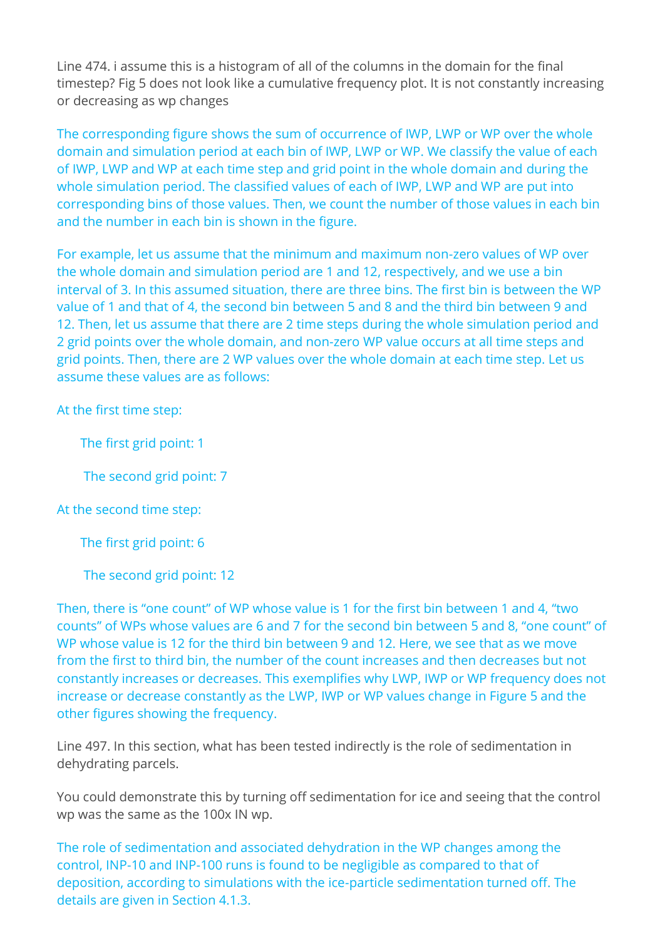Line 474. i assume this is a histogram of all of the columns in the domain for the final timestep? Fig 5 does not look like a cumulative frequency plot. It is not constantly increasing or decreasing as wp changes

The corresponding figure shows the sum of occurrence of IWP, LWP or WP over the whole domain and simulation period at each bin of IWP, LWP or WP. We classify the value of each of IWP, LWP and WP at each time step and grid point in the whole domain and during the whole simulation period. The classified values of each of IWP, LWP and WP are put into corresponding bins of those values. Then, we count the number of those values in each bin and the number in each bin is shown in the figure.

For example, let us assume that the minimum and maximum non-zero values of WP over the whole domain and simulation period are 1 and 12, respectively, and we use a bin interval of 3. In this assumed situation, there are three bins. The first bin is between the WP value of 1 and that of 4, the second bin between 5 and 8 and the third bin between 9 and 12. Then, let us assume that there are 2 time steps during the whole simulation period and 2 grid points over the whole domain, and non-zero WP value occurs at all time steps and grid points. Then, there are 2 WP values over the whole domain at each time step. Let us assume these values are as follows:

At the first time step:

The first grid point: 1

The second grid point: 7

At the second time step:

The first grid point: 6

The second grid point: 12

Then, there is "one count" of WP whose value is 1 for the first bin between 1 and 4, "two counts" of WPs whose values are 6 and 7 for the second bin between 5 and 8, "one count" of WP whose value is 12 for the third bin between 9 and 12. Here, we see that as we move from the first to third bin, the number of the count increases and then decreases but not constantly increases or decreases. This exemplifies why LWP, IWP or WP frequency does not increase or decrease constantly as the LWP, IWP or WP values change in Figure 5 and the other figures showing the frequency.

Line 497. In this section, what has been tested indirectly is the role of sedimentation in dehydrating parcels.

You could demonstrate this by turning off sedimentation for ice and seeing that the control wp was the same as the 100x IN wp.

The role of sedimentation and associated dehydration in the WP changes among the control, INP-10 and INP-100 runs is found to be negligible as compared to that of deposition, according to simulations with the ice-particle sedimentation turned off. The details are given in Section 4.1.3.